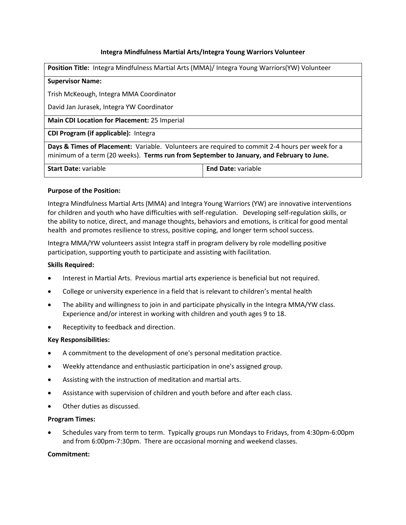# **Integra Mindfulness Martial Arts/Integra Young Warriors Volunteer**

| Position Title: Integra Mindfulness Martial Arts (MMA)/ Integra Young Warriors(YW) Volunteer                                                                                                |                           |
|---------------------------------------------------------------------------------------------------------------------------------------------------------------------------------------------|---------------------------|
| <b>Supervisor Name:</b>                                                                                                                                                                     |                           |
| Trish McKeough, Integra MMA Coordinator                                                                                                                                                     |                           |
| David Jan Jurasek, Integra YW Coordinator                                                                                                                                                   |                           |
| Main CDI Location for Placement: 25 Imperial                                                                                                                                                |                           |
| <b>CDI Program (if applicable):</b> Integra                                                                                                                                                 |                           |
| Days & Times of Placement: Variable. Volunteers are required to commit 2-4 hours per week for a<br>minimum of a term (20 weeks). Terms run from September to January, and February to June. |                           |
| <b>Start Date: variable</b>                                                                                                                                                                 | <b>End Date: variable</b> |

# **Purpose of the Position:**

Integra Mindfulness Martial Arts (MMA) and Integra Young Warriors (YW) are innovative interventions for children and youth who have difficulties with self-regulation. Developing self-regulation skills, or the ability to notice, direct, and manage thoughts, behaviors and emotions, is critical for good mental health and promotes resilience to stress, positive coping, and longer term school success.

Integra MMA/YW volunteers assist Integra staff in program delivery by role modelling positive participation, supporting youth to participate and assisting with facilitation.

## **Skills Required:**

- Interest in Martial Arts. Previous martial arts experience is beneficial but not required.
- College or university experience in a field that is relevant to children's mental health
- The ability and willingness to join in and participate physically in the Integra MMA/YW class. Experience and/or interest in working with children and youth ages 9 to 18.
- Receptivity to feedback and direction.

## **Key Responsibilities:**

- A commitment to the development of one's personal meditation practice.
- Weekly attendance and enthusiastic participation in one's assigned group.
- Assisting with the instruction of meditation and martial arts.
- Assistance with supervision of children and youth before and after each class.
- Other duties as discussed.

## **Program Times:**

 Schedules vary from term to term. Typically groups run Mondays to Fridays, from 4:30pm-6:00pm and from 6:00pm-7:30pm. There are occasional morning and weekend classes.

## **Commitment:**